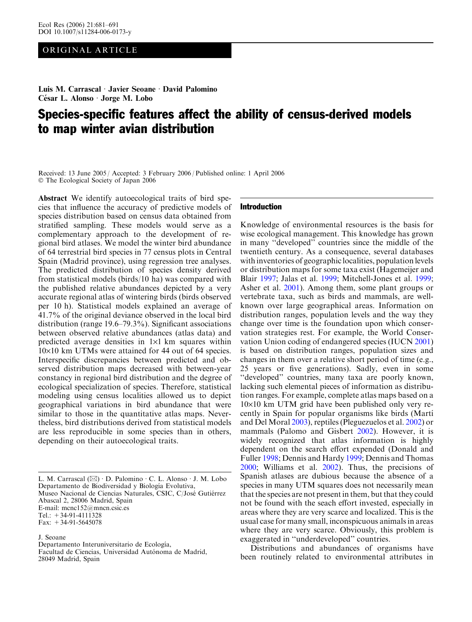## ORIGINAL ARTICLE

Luis M. Carrascal · Javier Seoane · David Palomino César L. Alonso  $\cdot$  Jorge M. Lobo

# Species-specific features affect the ability of census-derived models to map winter avian distribution

Received: 13 June 2005 / Accepted: 3 February 2006 / Published online: 1 April 2006 - The Ecological Society of Japan 2006

Abstract We identify autoecological traits of bird species that influence the accuracy of predictive models of species distribution based on census data obtained from stratified sampling. These models would serve as a complementary approach to the development of regional bird atlases. We model the winter bird abundance of 64 terrestrial bird species in 77 census plots in Central Spain (Madrid province), using regression tree analyses. The predicted distribution of species density derived from statistical models (birds/10 ha) was compared with the published relative abundances depicted by a very accurate regional atlas of wintering birds (birds observed per 10 h). Statistical models explained an average of 41.7% of the original deviance observed in the local bird distribution (range 19.6–79.3%). Significant associations between observed relative abundances (atlas data) and predicted average densities in  $1\times1$  km squares within  $10\times10$  km UTMs were attained for 44 out of 64 species. Interspecific discrepancies between predicted and observed distribution maps decreased with between-year constancy in regional bird distribution and the degree of ecological specialization of species. Therefore, statistical modeling using census localities allowed us to depict geographical variations in bird abundance that were similar to those in the quantitative atlas maps. Nevertheless, bird distributions derived from statistical models are less reproducible in some species than in others, depending on their autoecological traits.

J. Seoane

Departamento Interuniversitario de Ecología, Facultad de Ciencias, Universidad Autónoma de Madrid, 28049 Madrid, Spain

### Introduction

Knowledge of environmental resources is the basis for wise ecological management. This knowledge has grown in many ''developed'' countries since the middle of the twentieth century. As a consequence, several databases with inventories of geographic localities, population levels or distribution maps for some taxa exist (Hagemeijer and Blair [1997](#page-9-0); Jalas et al. [1999](#page-9-0); Mitchell-Jones et al. [1999](#page-9-0); Asher et al. [2001](#page-8-0)). Among them, some plant groups or vertebrate taxa, such as birds and mammals, are wellknown over large geographical areas. Information on distribution ranges, population levels and the way they change over time is the foundation upon which conservation strategies rest. For example, the World Conservation Union coding of endangered species (IUCN [2001\)](#page-9-0) is based on distribution ranges, population sizes and changes in them over a relative short period of time (e.g., 25 years or five generations). Sadly, even in some "developed" countries, many taxa are poorly known, lacking such elemental pieces of information as distribution ranges. For example, complete atlas maps based on a  $10\times10$  km UTM grid have been published only very recently in Spain for popular organisms like birds (Martí and Del Moral [2003](#page-9-0)), reptiles (Pleguezuelos et al. [2002](#page-9-0)) or mammals (Palomo and Gisbert [2002](#page-9-0)). However, it is widely recognized that atlas information is highly dependent on the search effort expended (Donald and Fuller [1998;](#page-9-0) Dennis and Hardy [1999;](#page-9-0) Dennis and Thomas [2000;](#page-9-0) Williams et al. [2002](#page-10-0)). Thus, the precisions of Spanish atlases are dubious because the absence of a species in many UTM squares does not necessarily mean that the species are not present in them, but that they could not be found with the seach effort invested, especially in areas where they are very scarce and localized. This is the usual case for many small, inconspicuous animals in areas where they are very scarce. Obviously, this problem is exaggerated in ''underdeveloped'' countries.

Distributions and abundances of organisms have been routinely related to environmental attributes in

L. M. Carrascal  $(\boxtimes) \cdot$  D. Palomino  $\cdot$  C. L. Alonso  $\cdot$  J. M. Lobo Departamento de Biodiversidad y Biología Evolutiva, Museo Nacional de Ciencias Naturales, CSIC, C/José Gutiérrez Abascal 2, 28006 Madrid, Spain E-mail: mcnc152@mncn.csic.es Tel.:  $+34-91-4111328$ Fax: +34-91-5645078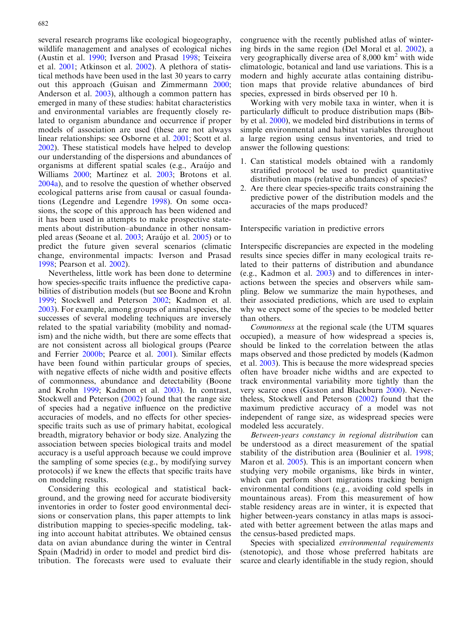several research programs like ecological biogeography, wildlife management and analyses of ecological niches (Austin et al. [1990;](#page-8-0) Iverson and Prasad [1998;](#page-9-0) Teixeira et al. [2001;](#page-9-0) Atkinson et al. [2002\)](#page-8-0). A plethora of statistical methods have been used in the last 30 years to carry out this approach (Guisan and Zimmermann [2000](#page-9-0); Anderson et al. [2003](#page-8-0)), although a common pattern has emerged in many of these studies: habitat characteristics and environmental variables are frequently closely related to organism abundance and occurrence if proper models of association are used (these are not always linear relationships: see Osborne et al. [2001;](#page-9-0) Scott et al. [2002](#page-9-0)). These statistical models have helped to develop our understanding of the dispersions and abundances of organisms at different spatial scales (e.g., Arau´jo and Williams [2000;](#page-8-0) Martínez et al. [2003;](#page-9-0) Brotons et al. [2004a\)](#page-8-0), and to resolve the question of whether observed ecological patterns arise from causal or casual foundations (Legendre and Legendre [1998](#page-9-0)). On some occasions, the scope of this approach has been widened and it has been used in attempts to make prospective statements about distribution–abundance in other nonsam-pled areas (Seoane et al. [2003](#page-9-0); Araújo et al. [2005\)](#page-8-0) or to predict the future given several scenarios (climatic change, environmental impacts: Iverson and Prasad [1998](#page-9-0); Pearson et al. [2002](#page-9-0)).

Nevertheless, little work has been done to determine how species-specific traits influence the predictive capabilities of distribution models (but see Boone and Krohn [1999](#page-8-0); Stockwell and Peterson [2002;](#page-9-0) Kadmon et al. [2003](#page-9-0)). For example, among groups of animal species, the successes of several modeling techniques are inversely related to the spatial variability (mobility and nomadism) and the niche width, but there are some effects that are not consistent across all biological groups (Pearce and Ferrier [2000b;](#page-9-0) Pearce et al. [2001\)](#page-9-0). Similar effects have been found within particular groups of species, with negative effects of niche width and positive effects of commonness, abundance and detectability (Boone and Krohn [1999;](#page-8-0) Kadmon et al. [2003](#page-9-0)). In contrast, Stockwell and Peterson [\(2002\)](#page-9-0) found that the range size of species had a negative influence on the predictive accuracies of models, and no effects for other speciesspecific traits such as use of primary habitat, ecological breadth, migratory behavior or body size. Analyzing the association between species biological traits and model accuracy is a useful approach because we could improve the sampling of some species (e.g., by modifying survey protocols) if we knew the effects that specific traits have on modeling results.

Considering this ecological and statistical background, and the growing need for accurate biodiversity inventories in order to foster good environmental decisions or conservation plans, this paper attempts to link distribution mapping to species-specific modeling, taking into account habitat attributes. We obtained census data on avian abundance during the winter in Central Spain (Madrid) in order to model and predict bird distribution. The forecasts were used to evaluate their

congruence with the recently published atlas of wintering birds in the same region (Del Moral et al. [2002](#page-9-0)), a very geographically diverse area of  $8,000 \text{ km}^2$  with wide climatologic, botanical and land use variations. This is a modern and highly accurate atlas containing distribution maps that provide relative abundances of bird species, expressed in birds observed per 10 h.

Working with very mobile taxa in winter, when it is particularly difficult to produce distribution maps (Bibby et al. [2000](#page-8-0)), we modeled bird distributions in terms of simple environmental and habitat variables throughout a large region using census inventories, and tried to answer the following questions:

- 1. Can statistical models obtained with a randomly stratified protocol be used to predict quantitative distribution maps (relative abundances) of species?
- 2. Are there clear species-specific traits constraining the predictive power of the distribution models and the accuracies of the maps produced?

Interspecific variation in predictive errors

Interspecific discrepancies are expected in the modeling results since species differ in many ecological traits related to their patterns of distribution and abundance (e.g., Kadmon et al. [2003](#page-9-0)) and to differences in interactions between the species and observers while sampling. Below we summarize the main hypotheses, and their associated predictions, which are used to explain why we expect some of the species to be modeled better than others.

Commonness at the regional scale (the UTM squares occupied), a measure of how widespread a species is, should be linked to the correlation between the atlas maps observed and those predicted by models (Kadmon et al. [2003\)](#page-9-0). This is because the more widespread species often have broader niche widths and are expected to track environmental variability more tightly than the very scarce ones (Gaston and Blackburn [2000\)](#page-9-0). Nevertheless, Stockwell and Peterson [\(2002\)](#page-9-0) found that the maximum predictive accuracy of a model was not independent of range size, as widespread species were modeled less accurately.

Between-years constancy in regional distribution can be understood as a direct measurement of the spatial stability of the distribution area (Boulinier et al. [1998](#page-8-0); Maron et al. [2005\)](#page-9-0). This is an important concern when studying very mobile organisms, like birds in winter, which can perform short migrations tracking benign environmental conditions (e.g., avoiding cold spells in mountainous areas). From this measurement of how stable residency areas are in winter, it is expected that higher between-years constancy in atlas maps is associated with better agreement between the atlas maps and the census-based predicted maps.

Species with specialized environmental requirements (stenotopic), and those whose preferred habitats are scarce and clearly identifiable in the study region, should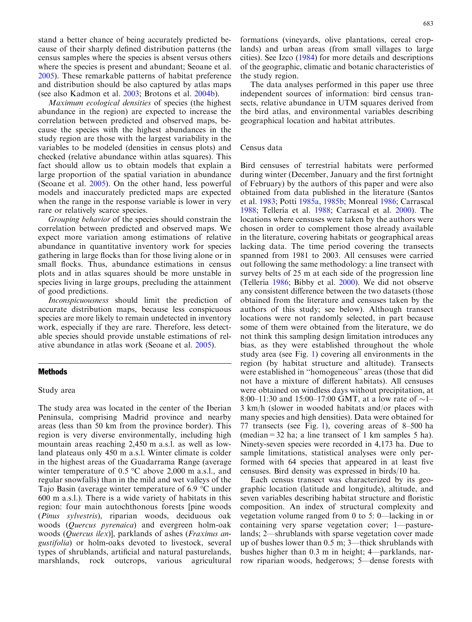stand a better chance of being accurately predicted because of their sharply defined distribution patterns (the census samples where the species is absent versus others where the species is present and abundant; Seoane et al. [2005](#page-9-0)). These remarkable patterns of habitat preference and distribution should be also captured by atlas maps (see also Kadmon et al. [2003;](#page-9-0) Brotons et al. [2004b](#page-8-0)).

Maximum ecological densities of species (the highest abundance in the region) are expected to increase the correlation between predicted and observed maps, because the species with the highest abundances in the study region are those with the largest variability in the variables to be modeled (densities in census plots) and checked (relative abundance within atlas squares). This fact should allow us to obtain models that explain a large proportion of the spatial variation in abundance (Seoane et al. [2005](#page-9-0)). On the other hand, less powerful models and inaccurately predicted maps are expected when the range in the response variable is lower in very rare or relatively scarce species.

Grouping behavior of the species should constrain the correlation between predicted and observed maps. We expect more variation among estimations of relative abundance in quantitative inventory work for species gathering in large flocks than for those living alone or in small flocks. Thus, abundance estimations in census plots and in atlas squares should be more unstable in species living in large groups, precluding the attainment of good predictions.

Inconspicuousness should limit the prediction of accurate distribution maps, because less conspicuous species are more likely to remain undetected in inventory work, especially if they are rare. Therefore, less detectable species should provide unstable estimations of relative abundance in atlas work (Seoane et al. [2005\)](#page-9-0).

#### Methods

#### Study area

The study area was located in the center of the Iberian Peninsula, comprising Madrid province and nearby areas (less than 50 km from the province border). This region is very diverse environmentally, including high mountain areas reaching 2,450 m a.s.l. as well as lowland plateaus only 450 m a.s.l. Winter climate is colder in the highest areas of the Guadarrama Range (average winter temperature of  $0.5 \degree C$  above 2,000 m a.s.l., and regular snowfalls) than in the mild and wet valleys of the Tajo Basin (average winter temperature of  $6.9 \degree C$  under 600 m a.s.l.). There is a wide variety of habitats in this region: four main autochthonous forests [pine woods (Pinus sylvestris), riparian woods, deciduous oak woods (Quercus pyrenaica) and evergreen holm-oak woods (Quercus ilex)], parklands of ashes (Fraxinus angustifolia) or holm-oaks devoted to livestock, several types of shrublands, artificial and natural pasturelands, marshlands, rock outcrops, various agricultural

formations (vineyards, olive plantations, cereal croplands) and urban areas (from small villages to large cities). See Izco ([1984\)](#page-9-0) for more details and descriptions of the geographic, climatic and botanic characteristics of the study region.

The data analyses performed in this paper use three independent sources of information: bird census transects, relative abundance in UTM squares derived from the bird atlas, and environmental variables describing geographical location and habitat attributes.

## Census data

Bird censuses of terrestrial habitats were performed during winter (December, January and the first fortnight of February) by the authors of this paper and were also obtained from data published in the literature (Santos et al. [1983;](#page-9-0) Potti [1985a,](#page-9-0) [1985b](#page-9-0); Monreal [1986](#page-9-0); Carrascal [1988;](#page-8-0) Tellería et al. [1988](#page-10-0); Carrascal et al. [2000](#page-8-0)). The locations where censuses were taken by the authors were chosen in order to complement those already available in the literature, covering habitats or geographical areas lacking data. The time period covering the transects spanned from 1981 to 2003. All censuses were carried out following the same methodology: a line transect with survey belts of 25 m at each side of the progression line (Tellería [1986](#page-9-0); Bibby et al. [2000](#page-8-0)). We did not observe any consistent difference between the two datasets (those obtained from the literature and censuses taken by the authors of this study; see below). Although transect locations were not randomly selected, in part because some of them were obtained from the literature, we do not think this sampling design limitation introduces any bias, as they were established throughout the whole study area (see Fig. [1](#page-3-0)) covering all environments in the region (by habitat structure and altitude). Transects were established in ''homogeneous'' areas (those that did not have a mixture of different habitats). All censuses were obtained on windless days without precipitation, at 8:00–11:30 and 15:00–17:00 GMT, at a low rate of  $\sim$ 1– 3 km/h (slower in wooded habitats and/or places with many species and high densities). Data were obtained for 77 transects (see Fig. [1\)](#page-3-0), covering areas of 8–500 ha (median=32 ha; a line transect of 1 km samples 5 ha). Ninety-seven species were recorded in 4,173 ha. Due to sample limitations, statistical analyses were only performed with 64 species that appeared in at least five censuses. Bird density was expressed in birds/10 ha.

Each census transect was characterized by its geographic location (latitude and longitude), altitude, and seven variables describing habitat structure and floristic composition. An index of structural complexity and vegetation volume ranged from 0 to 5: 0—lacking in or containing very sparse vegetation cover; 1—pasturelands; 2—shrublands with sparse vegetation cover made up of bushes lower than 0.5 m; 3—thick shrublands with bushes higher than 0.3 m in height; 4—parklands, narrow riparian woods, hedgerows; 5—dense forests with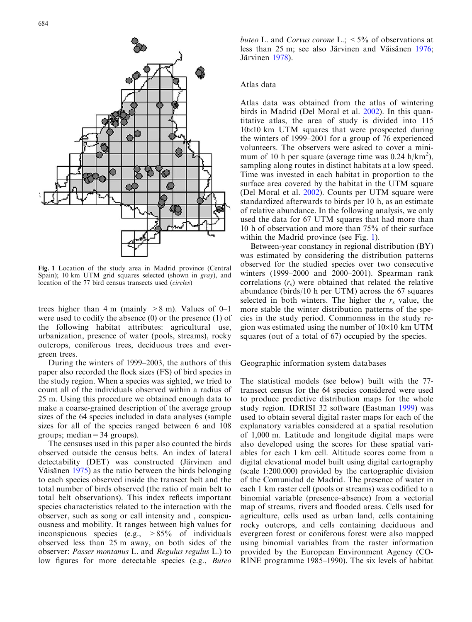<span id="page-3-0"></span>

Fig. 1 Location of the study area in Madrid province (Central Spain); 10 km UTM grid squares selected (shown in gray), and location of the 77 bird census transects used (circles)

trees higher than 4 m (mainly  $> 8$  m). Values of 0–1 were used to codify the absence (0) or the presence (1) of the following habitat attributes: agricultural use, urbanization, presence of water (pools, streams), rocky outcrops, coniferous trees, deciduous trees and evergreen trees.

During the winters of 1999–2003, the authors of this paper also recorded the flock sizes (FS) of bird species in the study region. When a species was sighted, we tried to count all of the individuals observed within a radius of 25 m. Using this procedure we obtained enough data to make a coarse-grained description of the average group sizes of the 64 species included in data analyses (sample sizes for all of the species ranged between 6 and 108 groups; median  $=$  34 groups).

The censuses used in this paper also counted the birds observed outside the census belts. An index of lateral detectability (DET) was constructed (Järvinen and Väisänen [1975](#page-9-0)) as the ratio between the birds belonging to each species observed inside the transect belt and the total number of birds observed (the ratio of main belt to total belt observations). This index reflects important species characteristics related to the interaction with the observer, such as song or call intensity and , conspicuousness and mobility. It ranges between high values for inconspicuous species (e.g., >85% of individuals observed less than 25 m away, on both sides of the observer: Passer montanus L. and Regulus regulus L.) to low figures for more detectable species (e.g., Buteo

buteo L. and Corvus corone L.;  $\leq 5\%$  of observations at less than 25 m; see also Järvinen and Väisänen [1976](#page-9-0); Järvinen [1978\)](#page-9-0).

## Atlas data

Atlas data was obtained from the atlas of wintering birds in Madrid (Del Moral et al. [2002\)](#page-9-0). In this quantitative atlas, the area of study is divided into 115  $10\times10$  km UTM squares that were prospected during the winters of 1999–2001 for a group of 76 experienced volunteers. The observers were asked to cover a minimum of 10 h per square (average time was  $0.24 \text{ h/km}^2$ ), sampling along routes in distinct habitats at a low speed. Time was invested in each habitat in proportion to the surface area covered by the habitat in the UTM square (Del Moral et al. [2002](#page-9-0)). Counts per UTM square were standardized afterwards to birds per 10 h, as an estimate of relative abundance. In the following analysis, we only used the data for 67 UTM squares that had more than 10 h of observation and more than 75% of their surface within the Madrid province (see Fig. 1).

Between-year constancy in regional distribution (BY) was estimated by considering the distribution patterns observed for the studied species over two consecutive winters (1999–2000 and 2000–2001). Spearman rank correlations  $(r<sub>s</sub>)$  were obtained that related the relative abundance (birds/10 h per UTM) across the 67 squares selected in both winters. The higher the  $r<sub>s</sub>$  value, the more stable the winter distribution patterns of the species in the study period. Commonness in the study region was estimated using the number of  $10\times10$  km UTM squares (out of a total of 67) occupied by the species.

Geographic information system databases

The statistical models (see below) built with the 77 transect census for the 64 species considered were used to produce predictive distribution maps for the whole study region. IDRISI 32 software (Eastman [1999](#page-9-0)) was used to obtain several digital raster maps for each of the explanatory variables considered at a spatial resolution of 1,000 m. Latitude and longitude digital maps were also developed using the scores for these spatial variables for each 1 km cell. Altitude scores come from a digital elevational model built using digital cartography (scale 1:200.000) provided by the cartographic division of the Comunidad de Madrid. The presence of water in each 1 km raster cell (pools or streams) was codified to a binomial variable (presence–absence) from a vectorial map of streams, rivers and flooded areas. Cells used for agriculture, cells used as urban land, cells containing rocky outcrops, and cells containing deciduous and evergreen forest or coniferous forest were also mapped using binomial variables from the raster information provided by the European Environment Agency (CO-RINE programme 1985–1990). The six levels of habitat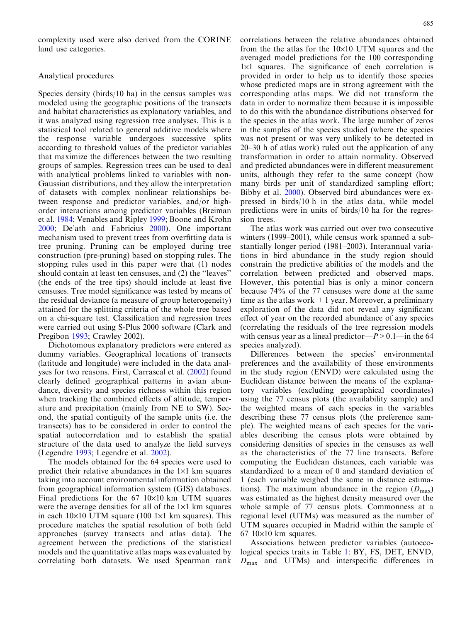complexity used were also derived from the CORINE land use categories.

#### Analytical procedures

Species density (birds/10 ha) in the census samples was modeled using the geographic positions of the transects and habitat characteristics as explanatory variables, and it was analyzed using regression tree analyses. This is a statistical tool related to general additive models where the response variable undergoes successive splits according to threshold values of the predictor variables that maximize the differences between the two resulting groups of samples. Regression trees can be used to deal with analytical problems linked to variables with non-Gaussian distributions, and they allow the interpretation of datasets with complex nonlinear relationships between response and predictor variables, and/or highorder interactions among predictor variables (Breiman et al. [1984;](#page-8-0) Venables and Ripley [1999;](#page-10-0) Boone and Krohn [2000](#page-8-0); De'ath and Fabricius [2000\)](#page-9-0). One important mechanism used to prevent trees from overfitting data is tree pruning. Pruning can be employed during tree construction (pre-pruning) based on stopping rules. The stopping rules used in this paper were that (1) nodes should contain at least ten censuses, and (2) the ''leaves'' (the ends of the tree tips) should include at least five censuses. Tree model significance was tested by means of the residual deviance (a measure of group heterogeneity) attained for the splitting criteria of the whole tree based on a chi-square test. Classification and regression trees were carried out using S-Plus 2000 software (Clark and Pregibon [1993;](#page-8-0) Crawley 2002).

Dichotomous explanatory predictors were entered as dummy variables. Geographical locations of transects (latitude and longitude) were included in the data analyses for two reasons. First, Carrascal et al. ([2002\)](#page-8-0) found clearly defined geographical patterns in avian abundance, diversity and species richness within this region when tracking the combined effects of altitude, temperature and precipitation (mainly from NE to SW). Second, the spatial contiguity of the sample units (i.e. the transects) has to be considered in order to control the spatial autocorrelation and to establish the spatial structure of the data used to analyze the field surveys (Legendre [1993](#page-9-0); Legendre et al. [2002\)](#page-9-0).

The models obtained for the 64 species were used to predict their relative abundances in the  $1\times1$  km squares taking into account environmental information obtained from geographical information system (GIS) databases. Final predictions for the  $67 \frac{10 \times 10}{10 \times 10}$  km UTM squares were the average densities for all of the  $1\times1$  km squares in each  $10\times10$  UTM square (100 1 $\times1$  km squares). This procedure matches the spatial resolution of both field approaches (survey transects and atlas data). The agreement between the predictions of the statistical models and the quantitative atlas maps was evaluated by correlating both datasets. We used Spearman rank

correlations between the relative abundances obtained from the the atlas for the  $10\times10$  UTM squares and the averaged model predictions for the 100 corresponding  $1\times1$  squares. The significance of each correlation is provided in order to help us to identify those species whose predicted maps are in strong agreement with the corresponding atlas maps. We did not transform the data in order to normalize them because it is impossible to do this with the abundance distributions observed for the species in the atlas work. The large number of zeros in the samples of the species studied (where the species was not present or was very unlikely to be detected in 20–30 h of atlas work) ruled out the application of any transformation in order to attain normality. Observed and predicted abundances were in different measurement units, although they refer to the same concept (how many birds per unit of standardized sampling effort; Bibby et al. [2000](#page-8-0)). Observed bird abundances were expressed in birds/10 h in the atlas data, while model predictions were in units of birds/10 ha for the regression trees.

The atlas work was carried out over two consecutive winters (1999–2001), while census work spanned a substantially longer period (1981–2003). Interannual variations in bird abundance in the study region should constrain the predictive abilities of the models and the correlation between predicted and observed maps. However, this potential bias is only a minor concern because 74% of the 77 censuses were done at the same time as the atlas work  $\pm 1$  year. Moreover, a preliminary exploration of the data did not reveal any significant effect of year on the recorded abundance of any species (correlating the residuals of the tree regression models with census year as a lineal predictor— $P > 0.1$ —in the 64 species analyzed).

Differences between the species' environmental preferences and the availability of those environments in the study region (ENVD) were calculated using the Euclidean distance between the means of the explanatory variables (excluding geographical coordinates) using the 77 census plots (the availability sample) and the weighted means of each species in the variables describing these 77 census plots (the preference sample). The weighted means of each species for the variables describing the census plots were obtained by considering densities of species in the censuses as well as the characteristics of the 77 line transects. Before computing the Euclidean distances, each variable was standardized to a mean of 0 and standard deviation of 1 (each variable weighed the same in distance estimations). The maximum abundance in the region  $(D_{\text{max}})$ was estimated as the highest density measured over the whole sample of 77 census plots. Commonness at a regional level (UTMs) was measured as the number of UTM squares occupied in Madrid within the sample of  $67 \frac{10}{10}$  km squares.

Associations between predictor variables (autoecological species traits in Table [1](#page-5-0): BY, FS, DET, ENVD,  $D_{\text{max}}$  and UTMs) and interspecific differences in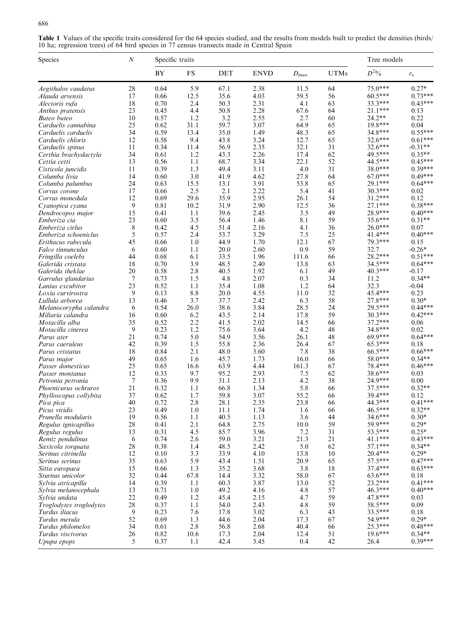| Species                 | $\boldsymbol{N}$ | Specific traits |           |      |             |            |             | Tree models |             |
|-------------------------|------------------|-----------------|-----------|------|-------------|------------|-------------|-------------|-------------|
|                         |                  | BY              | <b>FS</b> | DET  | <b>ENVD</b> | $D_{\max}$ | <b>UTMs</b> | $D^2\%$     | $r_{\rm s}$ |
| Aegithalos caudatus     | 28               | 0.64            | 5.9       | 67.1 | 2.38        | 11.5       | 64          | 75.0***     | $0.27*$     |
| Alauda arvensis         | 17               | 0.66            | 12.5      | 35.6 | 4.03        | 59.5       | 56          | $60.5***$   | $0.73***$   |
| Alectoris rufa          | 18               | 0.70            | 2.4       | 50.3 | 2.31        | 4.1        | 63          | 33.3***     | $0.43***$   |
| Anthus pratensis        | 23               | 0.45            | 4.4       | 50.8 | 2.28        | 67.6       | 64          | $21.1***$   | 0.13        |
| Buteo buteo             | 10               | 0.57            | 1.2       | 3.2  | 2.55        | 2.7        | 60          | $24.2**$    | 0.22        |
| Carduelis cannabina     | 25               | 0.62            | 31.1      | 59.7 | 3.07        | 64.9       | 65          | 19.8***     | 0.04        |
| Carduelis carduelis     | 34               | 0.59            | 13.4      | 35.0 | 1.49        | 48.3       | 65          | 34.8***     | $0.55***$   |
| Carduelis chloris       | 12               | 0.58            | 9.4       | 43.8 | 3.24        | 12.7       | 65          | 32.6***     | $0.61***$   |
| Carduelis spinus        | 11               | 0.34            | 11.4      | 56.9 | 2.35        | 32.1       | 31          | 32.6***     | $-0.31**$   |
| Certhia brachydactyla   | 34               | 0.61            | 1.2       | 43.3 | 2.26        | 17.4       | 62          | 49.5***     | $0.35**$    |
| Cettia cetti            | 13               | 0.56            | 1.1       | 68.7 | 3.34        | 22.1       | 52          | 44.5***     | $0.45***$   |
| Cisticola juncidis      | 11               | 0.39            | 1.3       | 49.4 | 3.11        | 4.0        | 31          | $38.0***$   | $0.39***$   |
| Columba livia           | 14               | 0.60            | 3.0       | 41.9 | 4.62        | 27.8       | 64          | $67.0***$   | $0.49***$   |
| Columba palumbus        | 24               | 0.63            | 15.5      | 13.1 | 3.91        | 53.8       | 65          | 29.1***     | $0.64***$   |
| Corvus corone           | 17               | 0.66            | 2.5       | 2.1  | 2.22        | 5.4        | 41          | $30.3***$   | 0.02        |
| Corvus monedula         | 12               | 0.69            | 29.6      | 35.9 | 2.95        | 26.1       | 54          | $31.2***$   | 0.12        |
| Cyanopica cyana         | 9                | 0.81            | 10.2      | 31.9 | 2.90        | 12.5       | 36          | $27.1***$   | $0.38***$   |
| Dendrocopos major       | 15               | 0.41            | 1.1       | 39.6 | 2.45        | 3.5        | 49          | 28.9***     | $0.40***$   |
| Emberiza cia            | 23               | 0.60            | 3.5       | 56.4 | 1.46        | 8.1        | 59          | 35.6***     | $0.31**$    |
| Emberiza cirlus         | 8                | 0.42            | 4.5       | 51.4 | 2.16        | 4.1        | 36          | $26.0***$   | 0.07        |
| Emberiza schoeniclus    | 5                | 0.57            | 2.4       | 53.7 | 3.29        | 7.5        | 25          | 41.4***     | $0.40***$   |
| Erithacus rubecula      | 45               | 0.66            | 1.0       | 44.9 | 1.70        | 12.1       | 67          | 79.3***     | 0.15        |
|                         | 6                | 0.60            |           | 20.0 | 2.60        | 0.9        | 59          | 32.7        | $-0.26*$    |
| Falco tinnunculus       |                  | 0.68            | 1.1       | 33.5 | 1.96        |            |             | 28.2***     | $0.51***$   |
| Fringilla coelebs       | 44               |                 | 6.1       |      |             | 111.6      | 66          |             | $0.64***$   |
| Galerida cristata       | 18               | 0.70            | 3.9       | 48.5 | 2.40        | 13.8       | 63          | $34.5***$   |             |
| Galerida theklae        | 20               | 0.58            | 2.8       | 40.5 | 1.92        | 6.1        | 49          | 40.3***     | $-0.17$     |
| Garrulus glandarius     | 7                | 0.73            | 1.5       | 4.8  | 2.07        | 0.3        | 34          | 11.2        | $0.34**$    |
| Lanius excubitor        | 23               | 0.52            | 1.1       | 35.4 | 1.08        | 1.2        | 64          | 32.3        | $-0.04$     |
| Loxia curvirostra       | 9                | 0.13            | 8.8       | 20.0 | 4.55        | 11.0       | 32          | 45.4***     | 0.23        |
| Lullula arborea         | 13               | 0.46            | 3.7       | 37.7 | 2.42        | 6.3        | 58          | 27.8***     | $0.30*$     |
| Melanocorypha calandra  | 6                | 0.54            | 26.0      | 38.6 | 3.84        | 28.5       | 24          | 29.5***     | $0.44***$   |
| Miliaria calandra       | 16               | 0.60            | 6.2       | 43.5 | 2.14        | 17.8       | 59          | $30.3***$   | $0.42***$   |
| Motacilla alba          | 35               | 0.52            | 2.2       | 41.5 | 2.02        | 14.5       | 66          | 37.2***     | 0.06        |
| Motacilla cinerea       | 9                | 0.23            | 1.2       | 75.6 | 3.64        | 4.2        | 48          | 34.8***     | 0.02        |
| Parus ater              | 21               | 0.74            | 5.0       | 54.9 | 3.56        | 26.1       | 48          | $69.9***$   | $0.64***$   |
| Parus caeruleus         | 42               | 0.39            | 1.5       | 55.8 | 2.36        | 26.4       | 67          | 65.3***     | 0.18        |
| Parus cristatus         | 18               | 0.84            | 2.1       | 48.0 | 3.60        | 7.8        | 38          | 66.5***     | $0.66***$   |
| Parus major             | 49               | 0.65            | 1.6       | 45.7 | 1.73        | 16.0       | 66          | 58.0***     | $0.34**$    |
| Passer domesticus       | 25               | 0.65            | 16.6      | 63.9 | 4.44        | 161.3      | 67          | 78.4***     | $0.46***$   |
| Passer montanus         | 12               | 0.33            | 9.7       | 95.2 | 2.93        | 7.5        | 62          | 38.6***     | 0.03        |
| Petronia petronia       | $\overline{7}$   | 0.36            | 9.9       | 31.1 | 2.13        | 4.2        | 38          | 24.9***     | 0.00        |
| Phoenicurus ochruros    | 21               | 0.32            | 1.1       | 66.8 | 1.34        | 5.8        | 66          | $37.5***$   | $0.32**$    |
| Phylloscopus collybita  | 37               | 0.62            | 1.7       | 59.8 | 3.07        | 55.2       | 66          | 39.4***     | 0.12        |
| Pica pica               | 40               | 0.72            | 2.8       | 28.1 | 2.35        | 23.8       | 66          | 44.3***     | $0.41***$   |
| Picus viridis           | 23               | 0.49            | 1.0       | 11.1 | 1.74        | 1.6        | 66          | 46.5***     | $0.32**$    |
| Prunella modularis      | 19               | 0.56            | 1.1       | 40.5 | 1.13        | 3.6        | 44          | 34.6***     | $0.30*$     |
| Regulus ignicapillus    | 28               | 0.41            | 2.1       | 64.8 | 2.75        | 10.0       | 59          | 59.9***     | $0.29*$     |
| Regulus regulus         | 13               | 0.31            | 4.5       | 85.7 | 3.96        | 7.2        | 31          | 53.5***     | $0.25*$     |
| Remiz pendulinus        | 6                | 0.74            | 2.6       | 59.0 | 3.21        | 21.3       | 21          | 41.1***     | $0.43***$   |
| Saxicola torquata       | 28               | 0.38            | 1.4       | 48.5 | 2.42        | 5.0        | 62          | 57.1***     | $0.34**$    |
| Serinus citrinella      | 12               | 0.10            | 3.3       | 33.9 | 4.10        | 13.8       | 10          | 20.4***     | $0.29*$     |
| Serinus serinus         | 35               | 0.63            | 5.9       | 43.4 | 1.51        | 20.9       | 65          | 57.5***     | $0.47***$   |
| Sitta europaea          | 15               | 0.66            | 1.3       | 35.2 | 3.68        | 3.8        | 18          | $37.4***$   | $0.63***$   |
| Sturnus unicolor        | 32               | 0.44            | 67.8      | 14.4 | 3.32        | 58.0       | 67          | 63.6***     | 0.18        |
| Sylvia atricapilla      | 14               | 0.39            | 1.1       | 60.3 | 3.87        | 13.0       | 52          | 23.2***     | $0.41***$   |
| Sylvia melanocephala    | 13               | 0.71            | 1.0       | 49.2 | 4.16        | 4.8        | 57          | 46.3***     | $0.40***$   |
| Svlvia undata           | 22               | 0.49            | 1.2       | 45.4 | 2.15        | 4.7        | 59          | 47.8***     | 0.03        |
| Troglodytes troglodytes | 28               | 0.37            | 1.1       | 54.0 | 2.43        | 4.8        | 59          | 58.5***     | 0.09        |
| Turdus iliacus          | 9                | 0.23            | 7.6       | 17.8 | 3.02        | 6.3        | 43          | 33.5***     | 0.18        |
| Turdus merula           | 52               | 0.69            | 1.3       | 44.6 | 2.04        | 17.3       | 67          | 54.9***     | $0.29*$     |
| Turdus philomelos       | 34               | 0.61            | 2.8       | 56.8 | 2.68        | 40.4       | 66          | 25.3***     | $0.48***$   |
| Turdus viscivorus       | 26               | 0.82            | 10.6      | 17.3 | 2.04        | 12.4       | 51          | $19.6***$   | $0.34**$    |
| Upupa epops             | 5                | 0.37            | 1.1       | 42.4 | 3.45        | 0.4        | 42          | 26.4        | $0.39***$   |

<span id="page-5-0"></span>Table 1 Values of the specific traits considered for the 64 species studied, and the results from models built to predict the densities (birds/ 10 ha; regression trees) of 64 bird species in 77 census transects made in Central Spain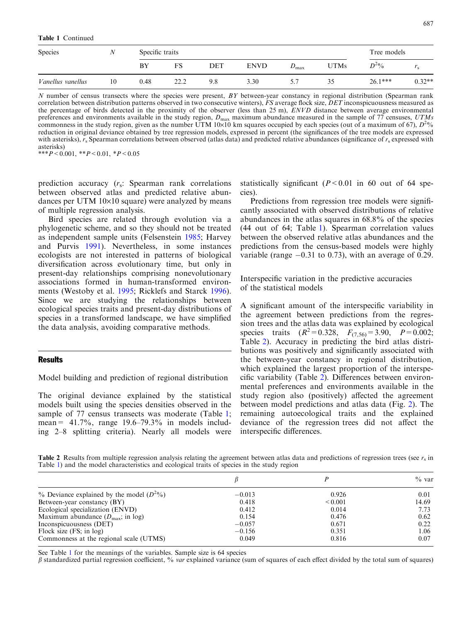## <span id="page-6-0"></span>Table 1 Continued

| <b>Species</b>    | N  |      | Specific traits |     |             |                    |             |               | Tree models |  |
|-------------------|----|------|-----------------|-----|-------------|--------------------|-------------|---------------|-------------|--|
|                   |    | BY   | FS              | DET | <b>ENVD</b> | $\nu_{\text{max}}$ | <b>UTMs</b> | $D^{20}/_{0}$ |             |  |
| Vanellus vanellus | 10 | 0.48 | າາ າ<br>22. L   | 9.8 | 3.30        | ، ، ب              | 35          | $26.1***$     | $0.32**$    |  |

N number of census transects where the species were present, BY between-year constancy in regional distribution (Spearman rank correlation between distribution patterns observed in two consecutive winters), FS average flock size, DET inconspicuousness measured as the percentage of birds detected in the proximity of the observer (less than 25 m), ENVD distance between average environmental preferences and environments available in the study region,  $D_{\text{max}}$  maximum abundance measured in the sample of 77 censuses, UTMs commonness in the study region, given as the number UTM 10×10 km squares occupied by each species (out of a maximum of 67),  $D^2\%$ reduction in original deviance obtained by tree regression models, expressed in percent (the significances of the tree models are expressed with asterisks),  $r_s$  Spearman correlations between observed (atlas data) and predicted relative abundances (significance of  $r_s$  expressed with asterisks)

\*\*\* $P < 0.001$ , \*\* $P < 0.01$ , \* $P < 0.05$ 

prediction accuracy  $(r_s:$  Spearman rank correlations between observed atlas and predicted relative abundances per UTM  $10\times10$  square) were analyzed by means of multiple regression analysis.

Bird species are related through evolution via a phylogenetic scheme, and so they should not be treated as independent sample units (Felsenstein [1985](#page-9-0); Harvey and Purvis [1991\)](#page-9-0). Nevertheless, in some instances ecologists are not interested in patterns of biological diversification across evolutionary time, but only in present-day relationships comprising nonevolutionary associations formed in human-transformed environments (Westoby et al. [1995;](#page-10-0) Ricklefs and Starck [1996\)](#page-9-0). Since we are studying the relationships between ecological species traits and present-day distributions of species in a transformed landscape, we have simplified the data analysis, avoiding comparative methods.

#### **Results**

Model building and prediction of regional distribution

The original deviance explained by the statistical models built using the species densities observed in the sample of 77 census transects was moderate (Table [1](#page-5-0); mean =  $41.7\%$ , range  $19.6-79.3\%$  in models including 2–8 splitting criteria). Nearly all models were statistically significant ( $P < 0.01$  in 60 out of 64 species).

Predictions from regression tree models were significantly associated with observed distributions of relative abundances in the atlas squares in 68.8% of the species (44 out of 64; Table [1](#page-5-0)). Spearman correlation values between the observed relative atlas abundances and the predictions from the census-based models were highly variable (range  $-0.31$  to 0.73), with an average of 0.29.

Interspecific variation in the predictive accuracies of the statistical models

A significant amount of the interspecific variability in the agreement between predictions from the regression trees and the atlas data was explained by ecological species traits  $(R^2 = 0.328, F_{(7,56)} = 3.90, P = 0.002;$ Table 2). Accuracy in predicting the bird atlas distributions was positively and significantly associated with the between-year constancy in regional distribution, which explained the largest proportion of the interspecific variability (Table 2). Differences between environmental preferences and environments available in the study region also (positively) affected the agreement between model predictions and atlas data (Fig. [2](#page-7-0)). The remaining autoecological traits and the explained deviance of the regression trees did not affect the interspecific differences.

**Table 2** Results from multiple regression analysis relating the agreement between atlas data and predictions of regression trees (see  $r_s$  in Table [1\)](#page-5-0) and the model characteristics and ecological traits of species in the study region

|                                                        |          |              | $\%$ var |
|--------------------------------------------------------|----------|--------------|----------|
| $\%$ Deviance explained by the model $(D^2\%)$         | $-0.013$ | 0.926        | 0.01     |
| Between-year constancy (BY)                            | 0.418    | ${}_{0.001}$ | 14.69    |
| Ecological specialization (ENVD)                       | 0.412    | 0.014        | 7.73     |
| Maximum abundance $(D_{\text{max}}; \text{ in } \log)$ | 0.154    | 0.476        | 0.62     |
| Inconspicuousness (DET)                                | $-0.057$ | 0.671        | 0.22     |
| Flock size $(FS; \text{ in } log)$                     | $-0.156$ | 0.351        | 1.06     |
| Commonness at the regional scale (UTMS)                | 0.049    | 0.816        | 0.07     |

See Table [1](#page-5-0) for the meanings of the variables. Sample size is 64 species

 $\beta$  standardized partial regression coefficient, % var explained variance (sum of squares of each effect divided by the total sum of squares)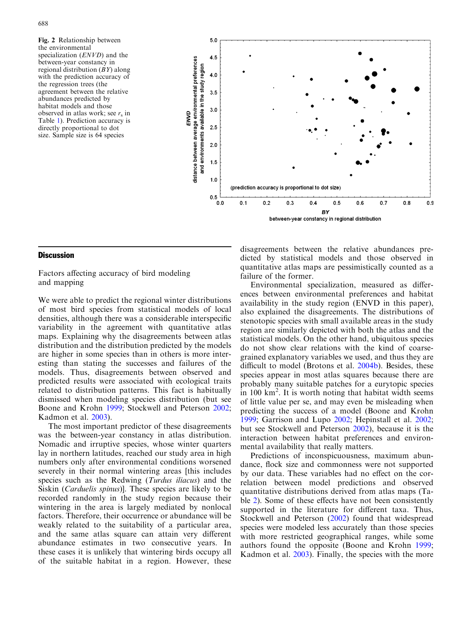<span id="page-7-0"></span>688

Fig. 2 Relationship between the environmental specialization (ENVD) and the between-year constancy in regional distribution (BY) along with the prediction accuracy of the regression trees (the agreement between the relative abundances predicted by habitat models and those observed in atlas work; see  $r_s$  in Table [1\)](#page-5-0). Prediction accuracy is directly proportional to dot size. Sample size is 64 species



#### between-year constancy in regional distribution

## **Discussion**

Factors affecting accuracy of bird modeling and mapping

We were able to predict the regional winter distributions of most bird species from statistical models of local densities, although there was a considerable interspecific variability in the agreement with quantitative atlas maps. Explaining why the disagreements between atlas distribution and the distribution predicted by the models are higher in some species than in others is more interesting than stating the successes and failures of the models. Thus, disagreements between observed and predicted results were associated with ecological traits related to distribution patterns. This fact is habitually dismissed when modeling species distribution (but see Boone and Krohn [1999](#page-8-0); Stockwell and Peterson [2002](#page-9-0); Kadmon et al. [2003\)](#page-9-0).

The most important predictor of these disagreements was the between-year constancy in atlas distribution. Nomadic and irruptive species, whose winter quarters lay in northern latitudes, reached our study area in high numbers only after environmental conditions worsened severely in their normal wintering areas [this includes species such as the Redwing (*Turdus iliacus*) and the Siskin (Carduelis spinus)]. These species are likely to be recorded randomly in the study region because their wintering in the area is largely mediated by nonlocal factors. Therefore, their occurrence or abundance will be weakly related to the suitability of a particular area, and the same atlas square can attain very different abundance estimates in two consecutive years. In these cases it is unlikely that wintering birds occupy all of the suitable habitat in a region. However, these

disagreements between the relative abundances predicted by statistical models and those observed in quantitative atlas maps are pessimistically counted as a failure of the former.

Environmental specialization, measured as differences between environmental preferences and habitat availability in the study region (ENVD in this paper), also explained the disagreements. The distributions of stenotopic species with small available areas in the study region are similarly depicted with both the atlas and the statistical models. On the other hand, ubiquitous species do not show clear relations with the kind of coarsegrained explanatory variables we used, and thus they are difficult to model (Brotons et al. [2004b](#page-8-0)). Besides, these species appear in most atlas squares because there are probably many suitable patches for a eurytopic species in 100 km<sup>2</sup>. It is worth noting that habitat width seems of little value per se, and may even be misleading when predicting the success of a model (Boone and Krohn [1999;](#page-8-0) Garrison and Lupo [2002;](#page-9-0) Hepinstall et al. [2002](#page-9-0); but see Stockwell and Peterson [2002\)](#page-9-0), because it is the interaction between habitat preferences and environmental availability that really matters.

Predictions of inconspicuousness, maximum abundance, flock size and commonness were not supported by our data. These variables had no effect on the correlation between model predictions and observed quantitative distributions derived from atlas maps (Table [2\)](#page-6-0). Some of these effects have not been consistently supported in the literature for different taxa. Thus, Stockwell and Peterson ([2002](#page-9-0)) found that widespread species were modeled less accurately than those species with more restricted geographical ranges, while some authors found the opposite (Boone and Krohn [1999](#page-8-0); Kadmon et al. [2003](#page-9-0)). Finally, the species with the more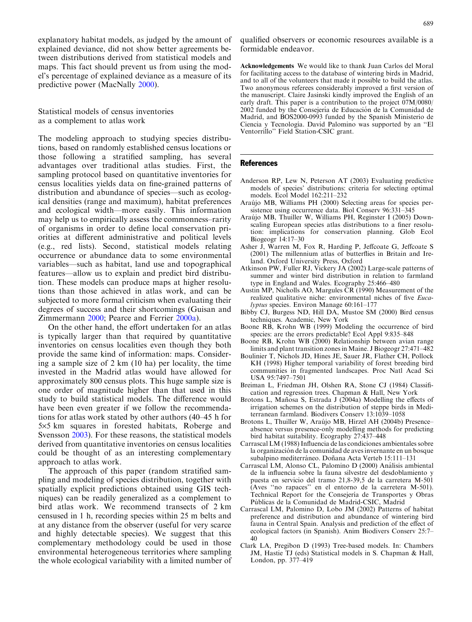<span id="page-8-0"></span>explanatory habitat models, as judged by the amount of explained deviance, did not show better agreements between distributions derived from statistical models and maps. This fact should prevent us from using the model's percentage of explained deviance as a measure of its predictive power (MacNally [2000\)](#page-9-0).

Statistical models of census inventories as a complement to atlas work

The modeling approach to studying species distributions, based on randomly established census locations or those following a stratified sampling, has several advantages over traditional atlas studies. First, the sampling protocol based on quantitative inventories for census localities yields data on fine-grained patterns of distribution and abundance of species—such as ecological densities (range and maximum), habitat preferences and ecological width—more easily. This information may help us to empirically assess the commonness–rarity of organisms in order to define local conservation priorities at different administrative and political levels (e.g., red lists). Second, statistical models relating occurrence or abundance data to some environmental variables—such as habitat, land use and topographical features—allow us to explain and predict bird distribution. These models can produce maps at higher resolutions than those achieved in atlas work, and can be subjected to more formal criticism when evaluating their degrees of success and their shortcomings (Guisan and Zimmermann [2000](#page-9-0); Pearce and Ferrier [2000a\)](#page-9-0).

On the other hand, the effort undertaken for an atlas is typically larger than that required by quantitative inventories on census localities even though they both provide the same kind of information: maps. Considering a sample size of 2 km (10 ha) per locality, the time invested in the Madrid atlas would have allowed for approximately 800 census plots. This huge sample size is one order of magnitude higher than that used in this study to build statistical models. The difference would have been even greater if we follow the recommendations for atlas work stated by other authors (40–45 h for 5·5 km squares in forested habitats, Roberge and Svensson [2003](#page-9-0)). For these reasons, the statistical models derived from quantitative inventories on census localities could be thought of as an interesting complementary approach to atlas work.

The approach of this paper (random stratified sampling and modeling of species distribution, together with spatially explicit predictions obtained using GIS techniques) can be readily generalized as a complement to bird atlas work. We recommend transects of 2 km censused in 1 h, recording species within 25 m belts and at any distance from the observer (useful for very scarce and highly detectable species). We suggest that this complementary methodology could be used in those environmental heterogeneous territories where sampling the whole ecological variability with a limited number of 689

qualified observers or economic resources available is a formidable endeavor.

Acknowledgements We would like to thank Juan Carlos del Moral for facilitating access to the database of wintering birds in Madrid, and to all of the volunteers that made it possible to build the atlas. Two anonymous referees considerably improved a first version of the manuscript. Claire Jasinski kindly improved the English of an early draft. This paper is a contribution to the project 07M/0080/ 2002 funded by the Consejería de Educación de la Comunidad de Madrid, and BOS2000-0993 funded by the Spanish Ministerio de Ciencia y Tecnología. David Palomino was supported by an "El Ventorrillo'' Field Station-CSIC grant.

## References

- Anderson RP, Lew N, Peterson AT (2003) Evaluating predictive models of species' distributions: criteria for selecting optimal models. Ecol Model 162:211–232
- Araújo MB, Williams PH (2000) Selecting areas for species persistence using occurrence data. Biol Conserv 96:331–345
- Araújo MB, Thuiller W, Williams PH, Reginster I (2005) Downscaling European species atlas distributions to a finer resolution: implications for conservation planning. Glob Ecol Biogeogr 14:17–30
- Asher J, Warren M, Fox R, Harding P, Jeffcoate G, Jeffcoate S (2001) The millennium atlas of butterflies in Britain and Ireland. Oxford University Press, Oxford
- Atkinson PW, Fuller RJ, Vickery JA (2002) Large-scale patterns of summer and winter bird distribution in relation to farmland type in England and Wales. Ecography 25:466–480
- Austin MP, Nicholls AO, Margules CR (1990) Measurement of the realized qualitative niche: environmental niches of five Eucalyptus species. Environ Manage 60:161–177
- Bibby CJ, Burgess ND, Hill DA, Mustoe SM (2000) Bird census techniques. Academic, New York
- Boone RB, Krohn WB (1999) Modeling the occurrence of bird species: are the errors predictable? Ecol Appl 9:835–848
- Boone RB, Krohn WB (2000) Relationship between avian range limits and plant transition zones in Maine. J Biogeogr 27:471–482
- Boulinier T, Nichols JD, Hines JE, Sauer JR, Flather CH, Pollock KH (1998) Higher temporal variability of forest breeding bird communities in fragmented landscapes. Proc Natl Acad Sci USA 95:7497–7501
- Breiman L, Friedman JH, Olshen RA, Stone CJ (1984) Classification and regression trees. Chapman & Hall, New York
- Brotons L, Mañosa S, Estrada J (2004a) Modelling the effects of irrigation schemes on the distribution of steppe birds in Mediterranean farmland. Biodivers Conserv 13:1039–1058
- Brotons L, Thuiller W, Araújo MB, Hirzel AH (2004b) Presenceabsence versus presence-only modelling methods for predicting bird habitat suitability. Ecography 27:437–448
- Carrascal LM (1988) Influencia de las condiciones ambientales sobre la organización de la comunidad de aves invernante en un bosque subalpino mediterráneo. Doñana Acta Verteb 15:111-131
- Carrascal LM, Alonso CL, Palomino D (2000) Análisis ambiental de la influencia sobre la fauna silvestre del desdoblamiento y puesta en servicio del tramo 21,8-39,5 de la carretera M-501 (Aves ''no rapaces'' en el entorno de la carretera M-501). Technical Report for the Consejería de Transportes y Obras Públicas de la Comunidad de Madrid-CSIC, Madrid
- Carrascal LM, Palomino D, Lobo JM (2002) Patterns of habitat preference and distribution and abundance of wintering bird fauna in Central Spain. Analysis and prediction of the effect of ecological factors (in Spanish). Anim Biodivers Conserv 25:7– 40
- Clark LA, Pregibon D (1993) Tree-based models. In: Chambers JM, Hastie TJ (eds) Statistical models in S. Chapman & Hall, London, pp. 377–419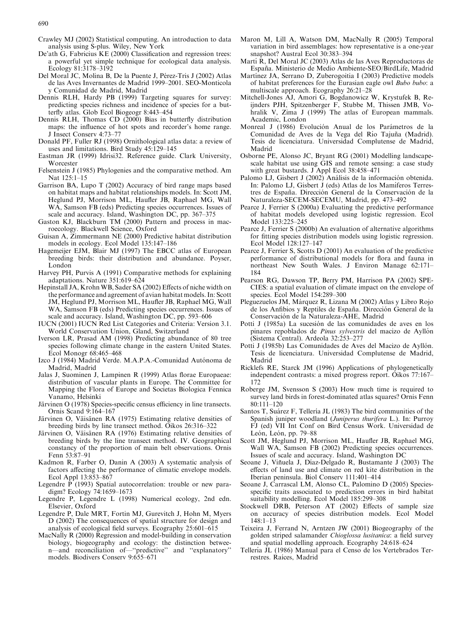- <span id="page-9-0"></span>Crawley MJ (2002) Statistical computing. An introduction to data analysis using S-plus. Wiley, New York
- De'ath G, Fabricius KE (2000) Classification and regression trees: a powerful yet simple technique for ecological data analysis. Ecology 81:3178–3192
- Del Moral JC, Molina B, De la Puente J, Pérez-Tris J (2002) Atlas de las Aves Invernantes de Madrid 1999–2001. SEO-Monticola y Comunidad de Madrid, Madrid
- Dennis RLH, Hardy PB (1999) Targeting squares for survey: predicting species richness and incidence of species for a butterfly atlas. Glob Ecol Biogeogr 8:443–454
- Dennis RLH, Thomas CD (2000) Bias in butterfly distribution maps: the influence of hot spots and recorder's home range. J Insect Conserv 4:73–77
- Donald PF, Fuller RJ (1998) Ornithological atlas data: a review of uses and limitations. Bird Study 45:129–145
- Eastman JR (1999) Idrisi32. Reference guide. Clark University, **Worcester**
- Felsenstein J (1985) Phylogenies and the comparative method. Am Nat 125:1–15
- Garrison BA, Lupo T (2002) Accuracy of bird range maps based on habitat maps and habitat relationships models. In: Scott JM, Heglund PJ, Morrison ML, Haufler JB, Raphael MG, Wall WA, Samson FB (eds) Predicting species occurrences. Issues of scale and accuracy. Island, Washington DC, pp. 367–375
- Gaston KJ, Blackburn TM (2000) Pattern and process in macroecology. Blackwell Science, Oxford
- Guisan A, Zimmermann NE (2000) Predictive habitat distribution models in ecology. Ecol Model 135:147–186
- Hagemeijer EJM, Blair MJ (1997) The EBCC atlas of European breeding birds: their distribution and abundance. Poyser, London
- Harvey PH, Purvis A (1991) Comparative methods for explaining adaptations. Nature 351:619–624
- Hepinstall JA, Krohn WB, Sader SA (2002) Effects of niche width on the performance and agreement of avian habitat models. In: Scott JM, Heglund PJ, Morrison ML, Haufler JB, Raphael MG, Wall WA, Samson FB (eds) Predicting species occurrences. Issues of scale and accuracy. Island, Washington DC, pp. 593–606
- IUCN (2001) IUCN Red List Categories and Criteria: Version 3.1. World Conservation Union, Gland, Switzerland
- Iverson LR, Prasad AM (1998) Predicting abundance of 80 tree species following climate change in the eastern United States. Ecol Monogr 68:465–468
- Izco J (1984) Madrid Verde. M.A.P.A.-Comunidad Autónoma de Madrid, Madrid
- Jalas J, Suominen J, Lampinen R (1999) Atlas florae Europaeae: distribution of vascular plants in Europe. The Committee for Mapping the Flora of Europe and Societas Biologica Fennica Vanamo, Helsinki
- Järvinen O (1978) Species-specific census efficiency in line transects. Ornis Scand 9:164–167
- Järvinen O, Väisänen RA (1975) Estimating relative densities of breeding birds by line transect method. Oikos 26:316–322
- Järvinen O, Väisänen RA (1976) Estimating relative densities of breeding birds by the line transect method. IV. Geographical constancy of the proportion of main belt observations. Ornis Fenn 53:87–91
- Kadmon R, Farber O, Danin A (2003) A systematic analysis of factors affecting the performance of climatic envelope models. Ecol Appl 13:853–867
- Legendre P (1993) Spatial autocorrelation: trouble or new paradigm? Ecology 74:1659–1673
- Legendre P, Legendre L (1998) Numerical ecology, 2nd edn. Elsevier, Oxford
- Legendre P, Dale MRT, Fortin MJ, Gurevitch J, Hohn M, Myers D (2002) The consequences of spatial structure for design and analysis of ecological field surveys. Ecography 25:601–615
- MacNally R (2000) Regression and model-building in conservation biology, biogeography and ecology: the distinction between—and reconciliation of—''predictive'' and ''explanatory'' models. Biodivers Conserv 9:655–671
- Maron M, Lill A, Watson DM, MacNally R (2005) Temporal variation in bird assemblages: how representative is a one-year snapshot? Austral Ecol 30:383–394
- Martí R, Del Moral JC (2003) Atlas de las Aves Reproductoras de Espan˜a. Ministerio de Medio Ambiente-SEO/BirdLife, Madrid
- Martínez JA, Serrano D, Zuberogoitia I (2003) Predictive models of habitat preferences for the Eurasian eagle owl Bubo bubo: a multiscale approach. Ecography 26:21–28
- Mitchell-Jones AJ, Amori G, Bogdanowicz W, Krystufek B, Reijnders PJH, Spitzenberger F, Stubbe M, Thissen JMB, Vohralik V, Zima J (1999) The atlas of European mammals. Academic, London
- Monreal J (1986) Evolución Anual de los Parámetros de la Comunidad de Aves de la Vega del Río Tajuña (Madrid). Tesis de licenciatura. Universidad Complutense de Madrid, Madrid
- Osborne PE, Alonso JC, Bryant RG (2001) Modelling landscapescale habitat use using GIS and remote sensing: a case study with great bustards. J Appl Ecol 38:458–471
- Palomo LJ, Gisbert J (2002) Análisis de la información obtenida. In: Palomo LJ, Gisbert J (eds) Atlas de los Mamíferos Terrestres de España. Dirección General de la Conservación de la Naturaleza-SECEM-SECEMU, Madrid, pp. 473–492
- Pearce J, Ferrier S (2000a) Evaluating the predictive performance of habitat models developed using logistic regression. Ecol Model 133:225–245
- Pearce J, Ferrier S (2000b) An evaluation of alternative algorithms for fitting species distribution models using logistic regression. Ecol Model 128:127–147
- Pearce J, Ferrier S, Scotts D (2001) An evaluation of the predictive performance of distributional models for flora and fauna in northeast New South Wales. J Environ Manage 62:171– 184
- Pearson RG, Dawson TP, Berry PM, Harrison PA (2002) SPE-CIES: a spatial evaluation of climate impact on the envelope of species. Ecol Model 154:289–300
- Pleguezuelos JM, Ma´rquez R, Lizana M (2002) Atlas y Libro Rojo de los Anfibios y Reptiles de España. Dirección General de la Conservación de la Naturaleza-AHE, Madrid
- Potti J (1985a) La sucesión de las comunidades de aves en los pinares repoblados de Pinus sylvestris del macizo de Ayllón (Sistema Central). Ardeola 32:253–277
- Potti J (1985b) Las Comunidades de Aves del Macizo de Ayllón. Tesis de licenciatura. Universidad Complutense de Madrid, Madrid
- Ricklefs RE, Starck JM (1996) Applications of phylogenetically independent contrasts: a mixed progress report. Oikos 77:167– 172
- Roberge JM, Svensson S (2003) How much time is required to survey land birds in forest-dominated atlas squares? Ornis Fenn 80:111–120
- Santos T, Suárez F, Tellería JL (1983) The bird communities of the Spanish juniper woodland (Juniperus thurifera L.). In: Purroy FJ (ed) VII Int Conf on Bird Census Work. Universidad de León, León, pp.  $79-88$
- Scott JM, Heglund PJ, Morrison ML, Haufler JB, Raphael MG, Wall WA, Samson FB (2002) Predicting species occurrences. Issues of scale and accuracy. Island, Washington DC
- Seoane J, Viñuela J, Díaz-Delgado R, Bustamante J (2003) The effects of land use and climate on red kite distribution in the Iberian peninsula. Biol Conserv 111:401–414
- Seoane J, Carrascal LM, Alonso CL, Palomino D (2005) Speciesspecific traits associated to prediction errors in bird habitat suitability modelling. Ecol Model 185:299–308
- Stockwell DRB, Peterson AT (2002) Effects of sample size on accuracy of species distribution models. Ecol Model 148:1–13
- Teixeira J, Ferrand N, Arntzen JW (2001) Biogeography of the golden striped salamander Chioglossa lusitanica: a field survey and spatial modelling approach. Ecography 24:618–624
- Tellería JL (1986) Manual para el Censo de los Vertebrados Terrestres. Raíces, Madrid